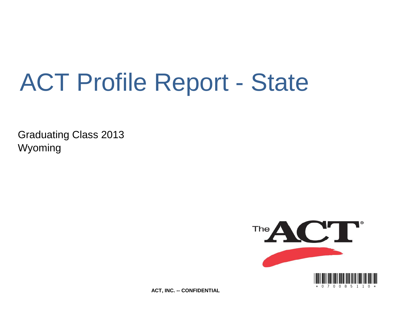# ACT Profile Report - State

Graduating Class 2013 Wyoming



**ACT, INC. -- CONFIDENTIAL**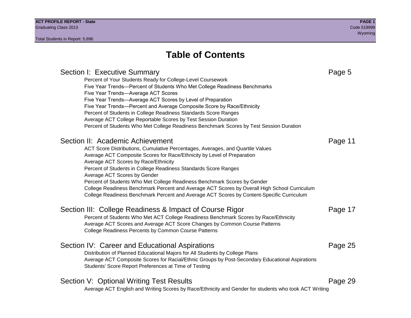## **Table of Contents**

### Section I: Executive Summary **Page 5** and the section I: Executive Summary Percent of Your Students Ready for College-Level Coursework Five Year Trends—Percent of Students Who Met College Readiness Benchmarks Five Year Trends—Average ACT Scores Five Year Trends—Average ACT Scores by Level of Preparation Five Year Trends—Percent and Average Composite Score by Race/Ethnicity Percent of Students in College Readiness Standards Score Ranges Average ACT College Reportable Scores by Test Session Duration Percent of Students Who Met College Readiness Benchmark Scores by Test Session Duration Section II: Academic Achievement **Page 11** Page 11 ACT Score Distributions, Cumulative Percentages, Averages, and Quartile Values Average ACT Composite Scores for Race/Ethnicity by Level of Preparation Average ACT Scores by Race/Ethnicity Percent of Students in College Readiness Standards Score Ranges Average ACT Scores by Gender Percent of Students Who Met College Readiness Benchmark Scores by Gender College Readiness Benchmark Percent and Average ACT Scores by Overall High School Curriculum College Readiness Benchmark Percent and Average ACT Scores by Content-Specific Curriculum Section III: College Readiness & Impact of Course Rigor Page 17 Percent of Students Who Met ACT College Readiness Benchmark Scores by Race/Ethnicity Average ACT Scores and Average ACT Score Changes by Common Course Patterns College Readiness Percents by Common Course Patterns Section IV: Career and Educational Aspirations **Page 25** Page 25 Distribution of Planned Educational Majors for All Students by College Plans Average ACT Composite Scores for Racial/Ethnic Groups by Post-Secondary Educational Aspirations Students' Score Report Preferences at Time of Testing Section V: Optional Writing Test Results **Page 29** Page 29 Average ACT English and Writing Scores by Race/Ethnicity and Gender for students who took ACT Writing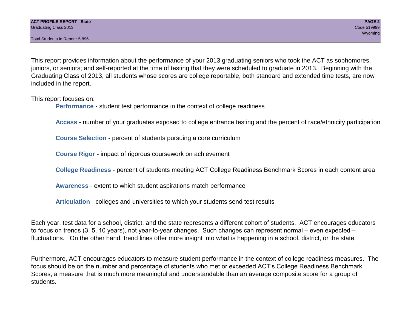Total Students in Report: 5,896

This report provides information about the performance of your 2013 graduating seniors who took the ACT as sophomores, juniors, or seniors; and self-reported at the time of testing that they were scheduled to graduate in 2013. Beginning with the Graduating Class of 2013, all students whose scores are college reportable, both standard and extended time tests, are now included in the report.

This report focuses on:

**Performance** - student test performance in the context of college readiness

**Access** - number of your graduates exposed to college entrance testing and the percent of race/ethnicity participation

**Course Selection** - percent of students pursuing a core curriculum

**Course Rigor** - impact of rigorous coursework on achievement

**College Readiness** - percent of students meeting ACT College Readiness Benchmark Scores in each content area

**Awareness** - extent to which student aspirations match performance

**Articulation** - colleges and universities to which your students send test results

Each year, test data for a school, district, and the state represents a different cohort of students. ACT encourages educators to focus on trends (3, 5, 10 years), not year-to-year changes. Such changes can represent normal – even expected – fluctuations. On the other hand, trend lines offer more insight into what is happening in a school, district, or the state.

Furthermore, ACT encourages educators to measure student performance in the context of college readiness measures. The focus should be on the number and percentage of students who met or exceeded ACT's College Readiness Benchmark Scores, a measure that is much more meaningful and understandable than an average composite score for a group of students.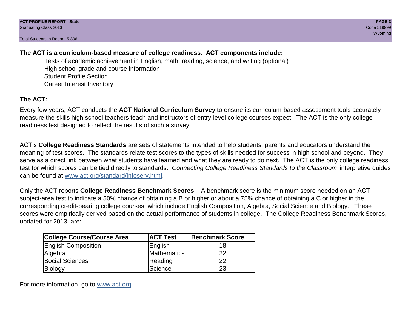Total Students in Report: 5,896

### **The ACT is a curriculum-based measure of college readiness. ACT components include:**

Tests of academic achievement in English, math, reading, science, and writing (optional) High school grade and course information Student Profile Section Career Interest Inventory

### **The ACT:**

Every few years, ACT conducts the **ACT National Curriculum Survey** to ensure its curriculum-based assessment tools accurately measure the skills high school teachers teach and instructors of entry-level college courses expect. The ACT is the only college readiness test designed to reflect the results of such a survey.

ACT's **College Readiness Standards** are sets of statements intended to help students, parents and educators understand the meaning of test scores. The standards relate test scores to the types of skills needed for success in high school and beyond. They serve as a direct link between what students have learned and what they are ready to do next. The ACT is the only college readiness test for which scores can be tied directly to standards. *Connecting College Readiness Standards to the Classroom* interpretive guides can be found at www.act.org/standard/infoserv.html.

Only the ACT reports **College Readiness Benchmark Scores** – A benchmark score is the minimum score needed on an ACT subject-area test to indicate a 50% chance of obtaining a B or higher or about a 75% chance of obtaining a C or higher in the corresponding credit-bearing college courses, which include English Composition, Algebra, Social Science and Biology. These scores were empirically derived based on the actual performance of students in college. The College Readiness Benchmark Scores, updated for 2013, are:

| College Course/Course Area | <b>ACT Test</b> | <b>Benchmark Score</b> |
|----------------------------|-----------------|------------------------|
| <b>English Composition</b> | English         | 18                     |
| Algebra                    | Mathematics     | 22                     |
| <b>Social Sciences</b>     | Reading         | 22                     |
| Biology                    | Science         | 23                     |

For more information, go to www.act.org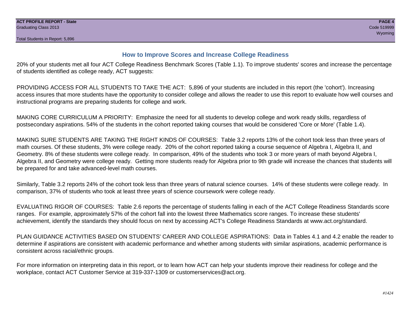#### **How to Improve Scores and Increase College Readiness**

20% of your students met all four ACT College Readiness Benchmark Scores (Table 1.1). To improve students' scores and increase the percentage of students identified as college ready, ACT suggests:

PROVIDING ACCESS FOR ALL STUDENTS TO TAKE THE ACT: 5,896 of your students are included in this report (the 'cohort'). Increasing access insures that more students have the opportunity to consider college and allows the reader to use this report to evaluate how well courses and instructional programs are preparing students for college and work.

MAKING CORE CURRICULUM A PRIORITY: Emphasize the need for all students to develop college and work ready skills, regardless of postsecondary aspirations. 54% of the students in the cohort reported taking courses that would be considered 'Core or More' (Table 1.4).

MAKING SURE STUDENTS ARE TAKING THE RIGHT KINDS OF COURSES: Table 3.2 reports 13% of the cohort took less than three years of math courses. Of these students, 3% were college ready. 20% of the cohort reported taking a course sequence of Algebra I, Algebra II, and Geometry. 8% of these students were college ready. In comparison, 49% of the students who took 3 or more years of math beyond Algebra I, Algebra II, and Geometry were college ready. Getting more students ready for Algebra prior to 9th grade will increase the chances that students will be prepared for and take advanced-level math courses.

Similarly, Table 3.2 reports 24% of the cohort took less than three years of natural science courses. 14% of these students were college ready. In comparison, 37% of students who took at least three years of science coursework were college ready.

EVALUATING RIGOR OF COURSES: Table 2.6 reports the percentage of students falling in each of the ACT College Readiness Standards score ranges. For example, approximately 57% of the cohort fall into the lowest three Mathematics score ranges. To increase these students' achievement, identify the standards they should focus on next by accessing ACT's College Readiness Standards at www.act.org/standard.

PLAN GUIDANCE ACTIVITIES BASED ON STUDENTS' CAREER AND COLLEGE ASPIRATIONS: Data in Tables 4.1 and 4.2 enable the reader to determine if aspirations are consistent with academic performance and whether among students with similar aspirations, academic performance is consistent across racial/ethnic groups.

For more information on interpreting data in this report, or to learn how ACT can help your students improve their readiness for college and the workplace, contact ACT Customer Service at 319-337-1309 or customerservices@act.org.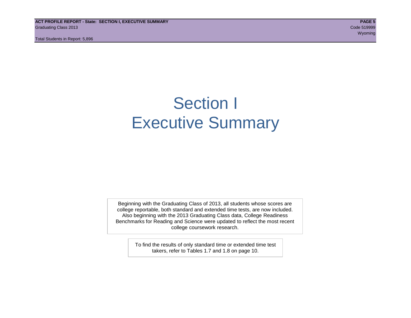**ACT PROFILE REPORT - State: SECTION I, EXECUTIVE SUMMARY PAGE 5** Graduating Class 2013 Code 519999

Total Students in Report: 5,896

## Section I Executive Summary

Beginning with the Graduating Class of 2013, all students whose scores are college reportable, both standard and extended time tests, are now included. Also beginning with the 2013 Graduating Class data, College Readiness Benchmarks for Reading and Science were updated to reflect the most recent college coursework research.

> To find the results of only standard time or extended time test takers, refer to Tables 1.7 and 1.8 on page 10.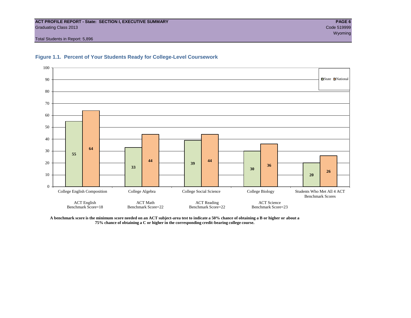#### **ACT PROFILE REPORT - State: SECTION I, EXECUTIVE SUMMARY PAGE 6** Graduating Class 2013 Code 519999

Total Students in Report: 5,896





**A benchmark score is the minimum score needed on an ACT subject-area test to indicate a 50% chance of obtaining a B or higher or about a 75% chance of obtaining a C or higher in the corresponding credit-bearing college course.**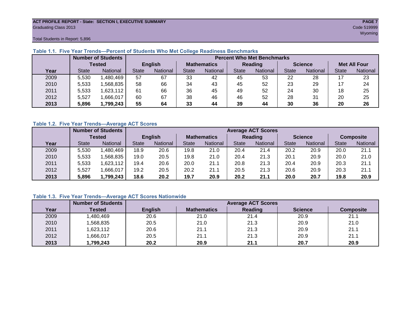#### **ACT PROFILE REPORT - State: SECTION I, EXECUTIVE SUMMARY PAGE 7** Graduating Class 2013 Code 519999

Total Students in Report: 5,896

|      |              | <b>Number of Students</b> |              |                |                    | <b>Percent Who Met Benchmarks</b> |                |          |                |          |                     |          |  |  |  |
|------|--------------|---------------------------|--------------|----------------|--------------------|-----------------------------------|----------------|----------|----------------|----------|---------------------|----------|--|--|--|
|      |              | <b>Tested</b>             |              | <b>English</b> | <b>Mathematics</b> |                                   | <b>Reading</b> |          | <b>Science</b> |          | <b>Met All Four</b> |          |  |  |  |
| Year | <b>State</b> | <b>National</b>           | <b>State</b> | National       |                    | National                          | <b>State</b>   | National |                | National | <b>State</b>        | National |  |  |  |
| 2009 | 5,530        | ,480,469                  | 57           | 67             | 33                 | 42                                | 45             | 53       | 22             | 28       |                     | 23       |  |  |  |
| 2010 | 5,533        | .568,835                  | 58           | 66             | 34                 | 43                                | 45             | 52       | 23             | 29       |                     | 24       |  |  |  |
| 2011 | 5,533        | ,623,112                  | 61           | 66             | 36                 | 45                                | 49             | 52       | 24             | 30       | 18                  | 25       |  |  |  |
| 2012 | 5,527        | ,666,017                  | 60           | 67             | 38                 | 46                                | 46             | 52       | 28             | 31       | 20                  | 25       |  |  |  |
| 2013 | 5,896        | 1,799,243                 | 55           | 64             | 33                 | 44                                | 39             | 44       | 30             | 36       | 20                  | 26       |  |  |  |

#### **Table 1.1. Five Year Trends—Percent of Students Who Met College Readiness Benchmarks**

#### **Table 1.2. Five Year Trends—Average ACT Scores**

|      |              | <b>Number of Students</b> |              |                |                    | <b>Average ACT Scores</b> |                |                 |                |          |                  |          |  |  |
|------|--------------|---------------------------|--------------|----------------|--------------------|---------------------------|----------------|-----------------|----------------|----------|------------------|----------|--|--|
|      |              | Tested                    |              | <b>English</b> | <b>Mathematics</b> |                           | <b>Reading</b> |                 | <b>Science</b> |          | <b>Composite</b> |          |  |  |
| Year | <b>State</b> | <b>National</b>           | <b>State</b> | National       | State              | <b>National</b>           | State          | <b>National</b> | <b>State</b>   | National | <b>State</b>     | National |  |  |
| 2009 | 5,530        | ,480,469                  | 18.9         | 20.6           | 19.8               | 21.0                      | 20.4           | 21.4            | 20.2           | 20.9     | 20.0             | 21.1     |  |  |
| 2010 | 5,533        | .568.835                  | 19.0         | 20.5           | 19.8               | 21.0                      | 20.4           | 21.3            | 20.1           | 20.9     | 20.0             | 21.0     |  |  |
| 2011 | 5,533        | ,623,112                  | 19.4         | 20.6           | 20.0               | 21.1                      | 20.8           | 21.3            | 20.4           | 20.9     | 20.3             | 21.1     |  |  |
| 2012 | 5,527        | .666,017                  | 19.2         | 20.5           | 20.2               | 21.1                      | 20.5           | 21.3            | 20.6           | 20.9     | 20.3             | 21.1     |  |  |
| 2013 | 5,896        | 1,799,243                 | 18.6         | 20.2           | 19.7               | 20.9                      | 20.2           | 21.1            | 20.0           | 20.7     | 19.8             | 20.9     |  |  |

#### **Table 1.3. Five Year Trends—Average ACT Scores Nationwide**

|      | <b>Number of Students</b> |                | <b>Average ACT Scores</b> |         |                |                  |  |  |  |  |  |  |
|------|---------------------------|----------------|---------------------------|---------|----------------|------------------|--|--|--|--|--|--|
| Year | Tested                    | <b>English</b> | <b>Mathematics</b>        | Reading | <b>Science</b> | <b>Composite</b> |  |  |  |  |  |  |
| 2009 | ,480,469                  | 20.6           | 21.0                      | 21.4    | 20.9           | 21.1             |  |  |  |  |  |  |
| 2010 | ,568,835                  | 20.5           | 21.0                      | 21.3    | 20.9           | 21.0             |  |  |  |  |  |  |
| 2011 | ,623,112                  | 20.6           | 21.1                      | 21.3    | 20.9           | 21.1             |  |  |  |  |  |  |
| 2012 | ,666,017                  | 20.5           | 21.1                      | 21.3    | 20.9           | 21.1             |  |  |  |  |  |  |
| 2013 | ,799,243                  | 20.2           | 20.9                      | 21.1    | 20.7           | 20.9             |  |  |  |  |  |  |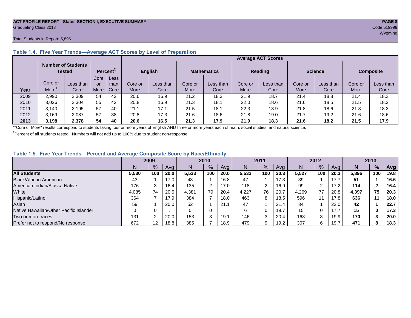#### **ACT PROFILE REPORT - State: SECTION I, EXECUTIVE SUMMARY PAGE 8** Graduating Class 2013 Code 519999

#### Total Students in Report: 5,896

|      |         | <b>Number of Students</b><br>Tested |      | Percent <sup>2</sup> |         | <b>English</b> |         | <b>Mathematics</b> | <b>Reading</b> |           | <b>Science</b> |           | <b>Composite</b> |           |
|------|---------|-------------------------------------|------|----------------------|---------|----------------|---------|--------------------|----------------|-----------|----------------|-----------|------------------|-----------|
|      |         |                                     | Core | Less                 |         |                |         |                    |                |           |                |           |                  |           |
|      | Core or | Less than                           | or   | than                 | Core or | Less than      | Core or | Less than          | Core or        | Less than | Core or        | Less than | Core or          | Less than |
| Year | More    | Core                                | More | Core                 | More    | Core           | More    | Core               | More           | Core      | More           | Core      | More             | Core      |
| 2009 | 2,990   | 2,309                               | 54   | 42                   | 20.6    | 16.9           | 21.2    | 18.3               | 21.9           | 18.7      | 21.4           | 18.8      | 21.4             | 18.3      |
| 2010 | 3,026   | 2.304                               | 55   | 42                   | 20.8    | 16.9           | 21.3    | 18.1               | 22.0           | 18.6      | 21.6           | 18.5      | 21.5             | 18.2      |
| 2011 | 3,140   | 2,195                               | 57   | 40                   | 21.1    | 17.1           | 21.5    | 18.1               | 22.3           | 18.9      | 21.8           | 18.6      | 21.8             | 18.3      |
| 2012 | 3,169   | 2.087                               | 57   | 38                   | 20.8    | 17.3           | 21.6    | 18.6               | 21.8           | 19.0      | 21.7           | 19.2      | 21.6             | 18.6      |
| 2013 | 3,198   | 2,378                               | 54   | 40                   | 20.6    | 16.5           | 21.3    | 17.9               | 21.9           | 18.3      | 21.6           | 18.2      | 21.5             | 17.9      |

#### **Table 1.4. Five Year Trends—Average ACT Scores by Level of Preparation**

<sup>1</sup>"Core or More" results correspond to students taking four or more years of English AND three or more years each of math, social studies, and natural science.

 $2$ Percent of all students tested. Numbers will not add up to 100% due to student non-response.

#### **Table 1.5. Five Year Trends—Percent and Average Composite Score by Race/Ethnicity**

|                                        | 2009  |         | 2010 |       | 2011          |      | 2012  |      |      | 2013  |     |      |       |        |            |
|----------------------------------------|-------|---------|------|-------|---------------|------|-------|------|------|-------|-----|------|-------|--------|------------|
|                                        | N     | %       | Avg  | N     | $\frac{9}{6}$ | Avg  | N     | $\%$ | Avg  | Ν     | %   | Ava  | N     | %      | <b>Avg</b> |
| <b>All Students</b>                    | 5,530 | 100     | 20.0 | 5,533 | 100           | 20.0 | 5.533 | 100  | 20.3 | 5.527 | 100 | 20.3 | 5,896 | 100    | 19.8       |
| Black/African American                 | 43    |         | 17.0 | 43    |               | 16.8 | 47    |      | 17.3 | 39    |     | 17.7 | 51    |        | 16.6       |
| American Indian/Alaska Native          | 176   |         | 16.4 | 135   | $\sim$        | 17.0 | 118   | 2    | 16.9 | 99    | 2   | 17.2 | 114   | 2      | 16.4       |
| White                                  | 4,085 | 74      | 20.5 | 4,381 | 79            | 20.4 | 4.227 | 76   | 20.7 | 4,269 | 77  | 20.8 | 4,397 | 75     | 20.3       |
| Hispanic/Latino                        | 364   |         | 17.9 | 384   |               | 18.0 | 463   | 8    | 18.5 | 596   | 11  | 17.8 | 636   | 11     | 18.0       |
| Asian                                  | 59    |         | 20.0 | 52    |               | 21.1 | 47    |      | 21.4 | 34    |     | 22.0 | 42    |        | 22.7       |
| Native Hawaiian/Other Pacific Islander |       |         |      |       | 0             |      | 6     | 0    | 19.7 | 15    | 0   | 17.7 | 15    | 0      | 17.3       |
| Two or more races                      | 131   |         | 20.0 | 153   | $\sim$<br>×.  | 19.1 | 146   | 3    | 20.4 | 168   | 3   | 19.9 | 170   |        | 20.0       |
| Prefer not to respond/No response      | 672   | $12 \,$ | 18.8 | 385   |               | 18.9 | 479   | 9    | 19.2 | 307   | 6   | 19.7 | 471   | o<br>ŏ | 18.3       |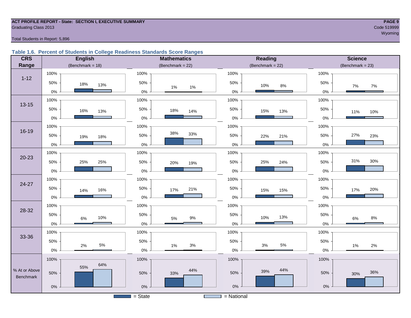## **ACT PROFILE REPORT - State: SECTION I, EXECUTIVE SUMMARY PAGE 9** Graduating Class 2013 Code 519999

#### Total Students in Report: 5,896

#### **Table 1.6. Percent of Students in College Readiness Standards Score Ranges**

| <b>CRS</b>    | <b>English</b>      | <b>Mathematics</b>                    | Reading             | <b>Science</b>        |
|---------------|---------------------|---------------------------------------|---------------------|-----------------------|
| Range         | (Benchmark = $18$ ) | (Benchmark = $22$ )                   | (Benchmark = $22$ ) | $(Benchmark = 23)$    |
|               | 100%                | 100%                                  | 100%                | 100%                  |
| $1 - 12$      | 50%<br>18%<br>13%   | 50%<br>$1\%$<br>$1\%$                 | 50%<br>10%<br>8%    | 50%<br>$7\%$<br>$7\%$ |
|               | $0\%$               | $0\%$                                 | $0\%$               | 0%                    |
| $13 - 15$     | 100%                | 100%                                  | 100%                | 100%                  |
|               | 50%<br>16%<br>13%   | 50%<br>18%<br>14%                     | 50%<br>15%<br>13%   | 50%<br>11%<br>10%     |
|               | $0\%$               | 0%                                    | $0\%$               | $0\%$                 |
|               | 100%                | 100%                                  | 100%                | 100%                  |
| $16 - 19$     | 50%<br>19%<br>18%   | 38%<br>33%<br>50%                     | 50%<br>22%<br>21%   | 27%<br>50%<br>23%     |
|               | $0\%$               | 0%                                    | $0\%$               | $0\%$                 |
|               | 100%                | 100%                                  | 100%                | 100%                  |
| $20 - 23$     | 50%<br>25%<br>25%   | 50%<br>20%<br>19%                     | 50%<br>25%<br>24%   | 31%<br>30%<br>50%     |
|               | $0\%$               | 0%                                    | $0\%$               | 0%                    |
| 24-27         | 100%                | 100%                                  | 100%                | 100%                  |
|               | 50%<br>16%<br>14%   | 50%<br>21%<br>17%                     | 50%<br>15%<br>15%   | 50%<br>20%<br>17%     |
|               | $0\%$               | 0%                                    | $0\%$               | 0%                    |
| 28-32         | 100%                | 100%                                  | 100%                | 100%                  |
|               | 50%<br>10%<br>6%    | 50%<br>$9\%$<br>5%                    | 50%<br>13%<br>10%   | 50%<br>$8\%$<br>6%    |
|               | $0\%$               | 0%                                    | $0\%$               | $0\%$                 |
| 33-36         | 100%                | 100%                                  | 100%                | 100%                  |
|               | 50%<br>5%           | 50%<br>$3\%$                          | 50%<br>5%<br>$3%$   | 50%                   |
|               | 2%<br>$0\%$         | 1%<br>0%                              | $0\%$               | 1%<br>2%<br>0%        |
|               | 100%                | 100%                                  | 100%                | 100%                  |
| % At or Above | 64%<br>55%          | 44%                                   | 44%<br>39%          |                       |
| Benchmark     | 50%                 | 50%<br>33%                            | 50%                 | 36%<br>50%<br>30%     |
|               | $0\%$               | 0%                                    | $0\%$               | $0\%$                 |
|               |                     | $=$ State<br><b>Contract Contract</b> | $=$ National        |                       |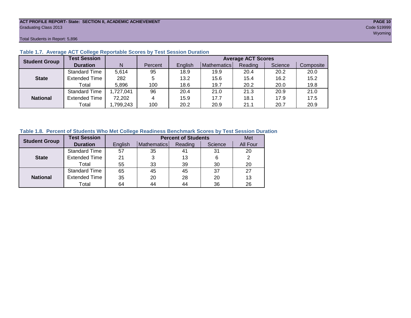#### **ACT PROFILE REPORT- State: SECTION II, ACADEMIC ACHIEVEMENT PAGE 10** Graduating Class 2013 Code 519999

Total Students in Report: 5,896

| <b>Student Group</b> | <b>Test Session</b>  |           |         | <b>Average ACT Scores</b> |             |         |         |           |  |  |  |  |  |
|----------------------|----------------------|-----------|---------|---------------------------|-------------|---------|---------|-----------|--|--|--|--|--|
|                      | <b>Duration</b>      | N         | Percent | English                   | Mathematics | Reading | Science | Composite |  |  |  |  |  |
|                      | <b>Standard Time</b> | 5,614     | 95      | 18.9                      | 19.9        | 20.4    | 20.2    | 20.0      |  |  |  |  |  |
| <b>State</b>         | <b>Extended Time</b> | 282       | 5       | 13.2                      | 15.6        | 15.4    | 16.2    | 15.2      |  |  |  |  |  |
|                      | Total                | 5,896     | 100     | 18.6                      | 19.7        | 20.2    | 20.0    | 19.8      |  |  |  |  |  |
|                      | <b>Standard Time</b> | 1,727,041 | 96      | 20.4                      | 21.0        | 21.3    | 20.9    | 21.0      |  |  |  |  |  |
| <b>National</b>      | <b>Extended Time</b> | 72,202    | 4       | 15.9                      | 17.7        | 18.1    | 17.9    | 17.5      |  |  |  |  |  |
|                      | Total                | ,799,243  | 100     | 20.2                      | 20.9        | 21.1    | 20.7    | 20.9      |  |  |  |  |  |

#### **Table 1.7. Average ACT College Reportable Scores by Test Session Duration**

#### **Table 1.8. Percent of Students Who Met College Readiness Benchmark Scores by Test Session Duration**

| <b>Student Group</b> | <b>Test Session</b>  |         | <b>Percent of Students</b> | Met     |         |          |
|----------------------|----------------------|---------|----------------------------|---------|---------|----------|
|                      | <b>Duration</b>      | English | Mathematics                | Reading | Science | All Four |
|                      | <b>Standard Time</b> | 57      | 35                         | 41      | 31      | 20       |
| <b>State</b>         | <b>Extended Time</b> | 21      |                            | 13      | 6       | 2        |
|                      | Total                | 55      | 33                         | 39      | 30      | 20       |
|                      | <b>Standard Time</b> | 65      | 45                         | 45      | 37      | 27       |
| <b>National</b>      | <b>Extended Time</b> | 35      | 20                         | 28      | 20      | 13       |
|                      | Total                | 64      | 44                         | 44      | 36      | 26       |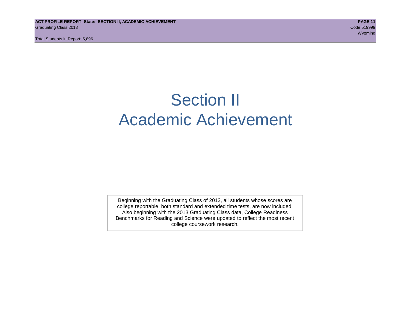Total Students in Report: 5,896

## Section II Academic Achievement

Beginning with the Graduating Class of 2013, all students whose scores are college reportable, both standard and extended time tests, are now included. Also beginning with the 2013 Graduating Class data, College Readiness Benchmarks for Reading and Science were updated to reflect the most recent college coursework research.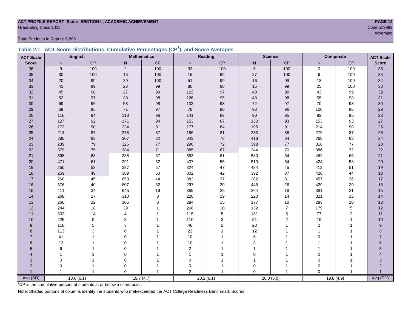### **ACT PROFILE REPORT- State: SECTION II, ACADEMIC ACHIEVEMENT PAGE 12** Graduating Class 2013 Code 519999

Total Students in Report: 5,896

|  | Table 2.1. ACT Score Distributions, Cumulative Percentages (CP <sup>1</sup> ), and Score Averages |  |  |  |
|--|---------------------------------------------------------------------------------------------------|--|--|--|
|  |                                                                                                   |  |  |  |

| <b>ACT Scale</b>        |                | <b>English</b> |                | <b>Mathematics</b> |                | Reading        | <b>Science</b><br><b>Composite</b><br><b>ACT Scale</b> |                |                |                |                |
|-------------------------|----------------|----------------|----------------|--------------------|----------------|----------------|--------------------------------------------------------|----------------|----------------|----------------|----------------|
| <b>Score</b>            | N              | CP             | ${\sf N}$      | $\mathsf{CP}$      | ${\sf N}$      | CP             | ${\sf N}$                                              | CP             | N              | CP             | <b>Score</b>   |
| 36                      | 9              | 100            | 2              | 100                | 33             | 100            | $5\phantom{.0}$                                        | 100            | $\mathbf 0$    | 100            | 36             |
| 35                      | $30\,$         | 100            | 15             | 100                | $16\,$         | 99             | $27\,$                                                 | 100            | 6              | 100            | 35             |
| 34                      | 20             | 99             | 29             | 100                | 51             | 99             | 16                                                     | 99             | 18             | 100            | 34             |
| 33                      | 45             | 99             | 23             | 99                 | 80             | 98             | 15                                                     | 99             | 25             | 100            | 33             |
| 32                      | 45             | 98             | 27             | $99\,$             | 122            | 97             | 43                                                     | 99             | 43             | 99             | 32             |
| 31                      | 62             | 97             | 38             | $98\,$             | 126            | 95             | 48                                                     | 98             | 55             | 98             | 31             |
| 30                      | 69             | 96             | 53             | $98\,$             | 133            | 93             | 72                                                     | 97             | 70             | 98             | $30\,$         |
| 29                      | 69             | 95             | 71             | 97                 | 78             | $90\,$         | 93                                                     | 96             | 106            | 96             | 29             |
| 28                      | 116            | 94             | 118            | 96                 | 141            | 89             | 90                                                     | 95             | 92             | 95             | 28             |
| 27                      | 127            | 92             | 171            | 94                 | 153            | 87             | 130                                                    | 93             | 153            | 93             | 27             |
| 26                      | 172            | 90             | 234            | 91                 | 177            | 84             | 195                                                    | 91             | 214            | 90             | 26             |
| 25                      | 214            | 87             | 278            | 87                 | 186            | 81             | 233                                                    | 88             | 279            | 87             | 25             |
| 24                      | 285            | 83             | 307            | 82                 | 343            | 78             | 418                                                    | 84             | 268            | 82             | 24             |
| 23                      | 239            | 79             | 325            | $77\,$             | 290            | 72             | 398                                                    | 77             | 316            | 77             | 23             |
| 22                      | 379            | 75             | 284            | $71$               | 385            | 67             | 344                                                    | $70\,$         | 386            | 72             | 22             |
| 21                      | 398            | 68             | 288            | 67                 | 353            | 61             | 580                                                    | 64             | 452            | 66             | 21             |
| 20                      | 471            | 61             | 291            | 62                 | 437            | 55             | 510                                                    | 54             | 424            | 58             | 20             |
| 19                      | 250            | 53             | 387            | 57                 | 324            | 47             | 484                                                    | 45             | 412            | 51             | 19             |
| 18                      | 259            | 49             | 389            | 50                 | 302            | 42             | 392                                                    | 37             | 426            | 44             | 18             |
| 17                      | 260            | 45             | 650            | 44                 | 382            | 37             | 282                                                    | 31             | 457            | 36             | 17             |
| 16                      | 376            | 40             | 807            | 32                 | 297            | 30             | 445                                                    | 26             | 429            | 29             | 16             |
| 15                      | 411            | 34             | 645            | 19                 | 389            | 25             | 264                                                    | 18             | 381            | 21             | 15             |
| 14                      | 268            | 27             | 310            | 8                  | 228            | 19             | 220                                                    | 14             | 321            | 15             | 14             |
| 13                      | 260            | 22             | 105            | 3                  | 284            | 15             | 177                                                    | $10$           | 283            | 10             | 13             |
| 12                      | 244            | 18             | 39             |                    | 268            | 10             | 132                                                    | $\overline{7}$ | 179            | $\mathbf 5$    | 12             |
| 11                      | 302            | 14             | $\overline{4}$ |                    | 115            | 5              | 181                                                    | 5              | $77$           | $\overline{2}$ | 11             |
| 10                      | 225            | 9              | 3              |                    | 110            | 3              | 51                                                     | $\overline{2}$ | 19             | 1              | 10             |
| 9                       | 116            | 5              | 3              |                    | 46             | $\overline{2}$ | 28                                                     | 1              | $\overline{2}$ | $\overline{1}$ | $9\,$          |
| 8                       | 113            | 3              | $\Omega$       |                    | 22             |                | 12                                                     |                | $\mathbf{1}$   |                | 8              |
| $\overline{7}$          | 41             |                | $\Omega$       |                    | 10             |                | 6                                                      |                | $\Omega$       |                | $\overline{7}$ |
| 6                       | 13             |                | $\mathbf 0$    |                    | $10$           |                | 3                                                      |                |                |                | $\,6$          |
| 5                       | 6              |                | $\mathbf 0$    |                    | $\mathbf 2$    |                |                                                        |                |                |                | $\overline{5}$ |
| $\overline{\mathbf{A}}$ | $\mathbf{1}$   |                | $\mathbf 0$    |                    | 1              |                | $\Omega$                                               |                | $\Omega$       |                | $\overline{A}$ |
| 3                       | $\mathbf 0$    |                | $\mathbf 0$    |                    | 0              |                |                                                        |                | $\mathbf 0$    |                | 3              |
| $\overline{2}$          | $\Omega$       |                | $\Omega$       |                    | $\mathbf 0$    |                | $\Omega$                                               | 1              | $\Omega$       |                | $\overline{2}$ |
| $\overline{1}$          | $\overline{1}$ |                | $\Omega$       |                    | $\overline{2}$ |                | $\Omega$                                               |                | $\Omega$       | $\mathbf 1$    | $\overline{1}$ |
| Avg (SD)                |                | 18.6(6.1)      |                | 19.7(4.7)          |                | 20.2(6.1)      |                                                        | 20.0(5.0)      | 19.8(4.9)      |                | Avg (SD)       |

<sup>1</sup>CP is the cumulative percent of students at or below a score point.

Note: Shaded portions of columns identify the students who met/exceeded the ACT College Readiness Benchmark Scores.

wy observed the contract of the contract of the contract of the contract of the contract of the contract of the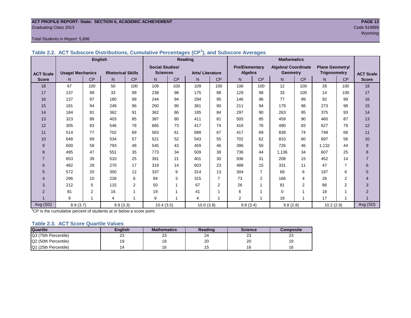#### **ACT PROFILE REPORT- State: SECTION II, ACADEMIC ACHIEVEMENT PAGE 13** Graduating Class 2013 Code 519999

#### Total Students in Report: 5,896

|                  |                         | <b>English</b> |                          |     | Reading                |                |                        |                | <b>Mathematics</b>    |                |                            |           |                        |                |                  |
|------------------|-------------------------|----------------|--------------------------|-----|------------------------|----------------|------------------------|----------------|-----------------------|----------------|----------------------------|-----------|------------------------|----------------|------------------|
|                  |                         |                |                          |     | <b>Social Studies/</b> |                |                        |                | <b>Pre/Elementary</b> |                | <b>Algebra/ Coordinate</b> |           | <b>Plane Geometry/</b> |                |                  |
| <b>ACT Scale</b> | <b>Usage/ Mechanics</b> |                | <b>Rhetorical Skills</b> |     | <b>Sciences</b>        |                | <b>Arts/Literature</b> |                | Algebra               |                | <b>Geometry</b>            |           | Trigonometry           |                | <b>ACT Scale</b> |
| <b>Score</b>     | N                       | CP             | N                        | CP  | N.                     | CP             | N                      | CP             | N                     | CP             | N                          | <b>CP</b> | N                      | CP             | <b>Score</b>     |
| 18               | 67                      | 100            | 50                       | 100 | 109                    | 100            | 109                    | 100            | 106                   | 100            | 12                         | 100       | 28                     | 100            | 18               |
| 17               | 137                     | 99             | 33                       | 99  | 238                    | 98             | 175                    | 98             | 129                   | 98             | 33                         | 100       | 14                     | 100            | 17               |
| 16               | 137                     | 97             | 180                      | 99  | 244                    | 94             | 294                    | 95             | 146                   | 96             | 77                         | 99        | 92                     | 99             | 16               |
| 15               | 181                     | 94             | 249                      | 96  | 250                    | 90             | 361                    | 90             | 211                   | 94             | 179                        | 98        | 273                    | 98             | 15               |
| 14               | 184                     | 91             | 362                      | 91  | 362                    | 86             | 185                    | 84             | 297                   | 90             | 263                        | 95        | 375                    | 93             | 14               |
| 13               | 323                     | 88             | 403                      | 85  | 387                    | 80             | 411                    | 81             | 505                   | 85             | 459                        | 90        | 460                    | 87             | 13               |
| 12               | 305                     | 83             | 546                      | 78  | 685                    | 73             | 417                    | 74             | 416                   | 76             | 490                        | 83        | 627                    | 79             | 12               |
| 11               | 514                     | 77             | 702                      | 69  | 563                    | 61             | 688                    | 67             | 417                   | 69             | 838                        | 74        | 748                    | 68             | 11               |
| 10               | 648                     | 69             | 534                      | 57  | 521                    | 52             | 543                    | 55             | 702                   | 62             | 810                        | 60        | 697                    | 56             | 10               |
| 9                | 600                     | 58             | 793                      | 48  | 545                    | 43             | 459                    | 46             | 396                   | 50             | 726                        | 46        | 1.132                  | 44             | 9                |
| 8                | 495                     | 47             | 551                      | 35  | 773                    | 34             | 509                    | 38             | 736                   | 44             | 1.136                      | 34        | 607                    | 25             | 8                |
| $\overline{7}$   | 653                     | 39             | 510                      | 25  | 391                    | 21             | 401                    | 30             | 936                   | 31             | 208                        | 15        | 452                    | 14             | $\overline{7}$   |
| 6                | 482                     | 28             | 270                      | 17  | 319                    | 14             | 603                    | 23             | 488                   | 15             | 331                        | 11        | 47                     | $\overline{7}$ | 6                |
| 5                | 572                     | 20             | 350                      | 12  | 337                    | 9              | 314                    | 13             | 304                   | $\overline{7}$ | 69                         | 6         | 197                    | 6              | 5                |
| 4                | 296                     | 10             | 228                      | 6   | 94                     | 3              | 315                    | $\overline{7}$ | 73                    | $\overline{2}$ | 166                        | 4         | 26                     | $\overline{2}$ | 4                |
| 3                | 212                     | 5              | 115                      | 2   | 50                     | 1              | 67                     | 2              | 26                    |                | 81                         | 2         | 86                     | $\overline{2}$ | 3                |
| $\overline{2}$   | 81                      | 2              | 16                       | 1   | 19                     | $\overline{ }$ | 41                     |                | 6                     |                | $\Omega$                   | 4         | 18                     | 1              | 2                |
|                  | 9                       |                | 4                        | 1   | 9                      |                | $\overline{4}$         |                | $\overline{2}$        |                | 18                         | 1         | 17                     | $\overline{ }$ |                  |
| Avg (SD)         | 8.9(3.7)                |                | 9.8(3.3)                 |     | 10.4(3.5)              |                | 10.0(3.8)              |                | 9.8(3.4)              |                | 9.8(2.8)                   |           | 10.2(2.8)              |                | Avg (SD)         |

#### **Table 2.2. ACT Subscore Distributions, Cumulative Percentages (CP<sup>1</sup> ), and Subscore Averages**

 $1$ <sup>T</sup>CP is the cumulative percent of students at or below a score point.

#### **Table 2.3. ACT Score Quartile Values**

| <b>Quartile</b>      | Enalish | <b>Mathematics</b> | Reading      | <b>Science</b> | Composite |
|----------------------|---------|--------------------|--------------|----------------|-----------|
| Q3 (75th Percentile) | 23      | ົ<br>ںے            | $\sim$<br>24 | ົ<br>د∠        | ົ<br>د∠   |
| Q2 (50th Percentile) |         |                    | oc<br>۷J     | 20             | 19        |
| Q1 (25th Percentile) |         |                    |              | 16             | 16        |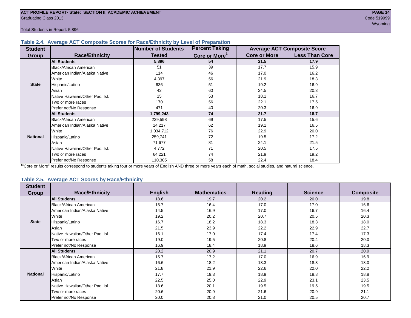Total Students in Report: 5,896

#### **Table 2.4. Average ACT Composite Scores for Race/Ethnicity by Level of Preparation**

| <b>Student</b>  |                                 | <b>Number of Students</b> | <b>Percent Taking</b>     |                     | <b>Average ACT Composite Score</b> |
|-----------------|---------------------------------|---------------------------|---------------------------|---------------------|------------------------------------|
| <b>Group</b>    | <b>Race/Ethnicity</b>           | <b>Tested</b>             | Core or More <sup>1</sup> | <b>Core or More</b> | <b>Less Than Core</b>              |
|                 | <b>All Students</b>             | 5,896                     | 54                        | 21.5                | 17.9                               |
|                 | Black/African American          | 51                        | 39                        | 17.7                | 15.9                               |
|                 | American Indian/Alaska Native   | 114                       | 46                        | 17.0                | 16.2                               |
|                 | White                           | 4,397                     | 56                        | 21.9                | 18.3                               |
| <b>State</b>    | Hispanic/Latino                 | 636                       | 51                        | 19.2                | 16.9                               |
|                 | Asian                           | 42                        | 60                        | 24.5                | 20.3                               |
|                 | Native Hawaiian/Other Pac. Isl. | 15                        | 53                        | 18.1                | 16.7                               |
|                 | I Two or more races             | 170                       | 56                        | 22.1                | 17.5                               |
|                 | Prefer not/No Response          | 471                       | 40                        | 20.3                | 16.9                               |
|                 | <b>All Students</b>             | 1,799,243                 | 74                        | 21.7                | 18.7                               |
|                 | Black/African American          | 239,598                   | 69                        | 17.5                | 15.6                               |
|                 | American Indian/Alaska Native   | 14,217                    | 62                        | 19.1                | 16.5                               |
|                 | <b>I</b> White                  | 1,034,712                 | 76                        | 22.9                | 20.0                               |
| <b>National</b> | Hispanic/Latino                 | 259,741                   | 72                        | 19.5                | 17.2                               |
|                 | Asian                           | 71,677                    | 81                        | 24.1                | 21.5                               |
|                 | Native Hawaiian/Other Pac. Isl. | 4,772                     | 71                        | 20.5                | 17.5                               |
|                 | Two or more races               | 64,221                    | 74                        | 21.9                | 19.2                               |
|                 | Prefer not/No Response          | 110,305                   | 58                        | 22.4                | 18.4                               |

<sup>1</sup>"Core or More" results correspond to students taking four or more years of English AND three or more years each of math, social studies, and natural science.

#### **Table 2.5. Average ACT Scores by Race/Ethnicity**

| <b>Student</b>  | <b>Race/Ethnicity</b>           |                | <b>Mathematics</b> | <b>Reading</b> | <b>Science</b> | <b>Composite</b> |
|-----------------|---------------------------------|----------------|--------------------|----------------|----------------|------------------|
| <b>Group</b>    |                                 | <b>English</b> |                    |                |                |                  |
|                 | <b>All Students</b>             | 18.6           | 19.7               | 20.2           | 20.0           | 19.8             |
|                 | <b>Black/African American</b>   | 15.7           | 16.4               | 17.0           | 17.0           | 16.6             |
|                 | American Indian/Alaska Native   | 14.5           | 16.9               | 17.0           | 16.7           | 16.4             |
|                 | <b>White</b>                    | 19.2           | 20.2               | 20.7           | 20.5           | 20.3             |
| <b>State</b>    | Hispanic/Latino                 | 16.7           | 18.2               | 18.3           | 18.3           | 18.0             |
|                 | Asian                           | 21.5           | 23.9               | 22.2           | 22.9           | 22.7             |
|                 | Native Hawaiian/Other Pac. Isl. | 16.1           | 17.0               | 17.4           | 17.4           | 17.3             |
|                 | Two or more races               | 19.0           | 19.5               | 20.8           | 20.4           | 20.0             |
|                 | Prefer not/No Response          | 16.9           | 18.4               | 18.9           | 18.6           | 18.3             |
|                 | <b>All Students</b>             | 20.2           | 20.9               | 21.1           | 20.7           | 20.9             |
|                 | <b>Black/African American</b>   | 15.7           | 17.2               | 17.0           | 16.9           | 16.9             |
|                 | American Indian/Alaska Native   | 16.6           | 18.2               | 18.3           | 18.3           | 18.0             |
|                 | White                           | 21.8           | 21.9               | 22.6           | 22.0           | 22.2             |
| <b>National</b> | Hispanic/Latino                 | 17.7           | 19.3               | 18.9           | 18.8           | 18.8             |
|                 | Asian                           | 22.5           | 25.0               | 22.9           | 23.1           | 23.5             |
|                 | Native Hawaiian/Other Pac. Isl. | 18.6           | 20.1               | 19.5           | 19.5           | 19.5             |
|                 | Two or more races               | 20.6           | 20.9               | 21.6           | 20.9           | 21.1             |
|                 | Prefer not/No Response          | 20.0           | 20.8               | 21.0           | 20.5           | 20.7             |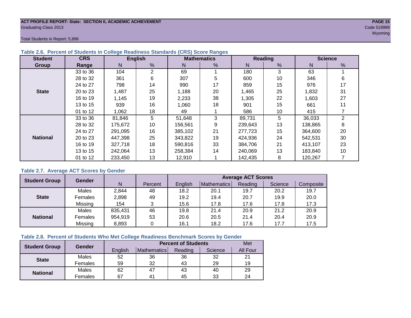#### **ACT PROFILE REPORT- State: SECTION II, ACADEMIC ACHIEVEMENT PAGE 15** Graduating Class 2013 Code 519999

wy observed the contract of the contract of the contract of the contract of the contract of the contract of the

Total Students in Report: 5,896

| <b>Student</b>  | <b>CRS</b> |         | <b>English</b> |         | <b>Mathematics</b> |         | Reading         | <b>Science</b> |    |  |
|-----------------|------------|---------|----------------|---------|--------------------|---------|-----------------|----------------|----|--|
| Group           | Range      | N.      | %              | N       | %                  | N       | $\frac{9}{6}$   | N              | %  |  |
|                 | 33 to 36   | 104     | $\overline{2}$ | 69      |                    | 180     | 3               | 63             |    |  |
| <b>State</b>    | 28 to 32   | 361     | 6              | 307     | 5                  | 600     | 10 <sup>°</sup> | 346            | 6  |  |
|                 | 24 to 27   | 798     | 14             | 990     | 17                 | 859     | 15              | 976            | 17 |  |
|                 | 20 to 23   | 1,487   | 25             | 1,188   | 20                 | 1,465   | 25              | 1,832          | 31 |  |
|                 | 16 to 19   | 1,145   | 19             | 2,233   | 38                 | 1,305   | 22              | 1,603          | 27 |  |
|                 | 13 to 15   | 939     | 16             | 1,060   | 18                 | 901     | 15              | 661            | 11 |  |
|                 | 01 to 12   | 1,062   | 18             | 49      |                    | 586     | 10              | 415            |    |  |
|                 | 33 to 36   | 81,846  | 5              | 51,648  | 3                  | 89,731  | 5               | 36,033         | 2  |  |
|                 | 28 to 32   | 175,672 | 10             | 156,561 | 9                  | 239,643 | 13              | 138,865        | 8  |  |
|                 | 24 to 27   | 291,095 | 16             | 385,102 | 21                 | 277,723 | 15              | 364,600        | 20 |  |
| <b>National</b> | 20 to 23   | 447,398 | 25             | 343.822 | 19                 | 424,936 | 24              | 542,531        | 30 |  |
|                 | 16 to 19   | 327,718 | 18             | 590,816 | 33                 | 384,706 | 21              | 413,107        | 23 |  |
|                 | 13 to 15   | 242,064 | 13             | 258,384 | 14                 | 240,069 | 13              | 183,840        | 10 |  |
|                 | 01 to 12   | 233,450 | 13             | 12,910  |                    | 142,435 | 8               | 120,267        |    |  |

#### **Table 2.6. Percent of Students in College Readiness Standards (CRS) Score Ranges**

#### **Table 2.7. Average ACT Scores by Gender**

| <b>Student Group</b> | Gender         |         |         | <b>Average ACT Scores</b> |             |         |         |           |  |  |  |
|----------------------|----------------|---------|---------|---------------------------|-------------|---------|---------|-----------|--|--|--|
|                      |                | N       | Percent | English                   | Mathematics | Reading | Science | Composite |  |  |  |
|                      | Males          | 2,844   | 48      | 18.2                      | 20.1        | 19.7    | 20.2    | 19.7      |  |  |  |
| <b>State</b>         | <b>Females</b> | 2,898   | 49      | 19.2                      | 19.4        | 20.7    | 19.9    | 20.0      |  |  |  |
|                      | Missing        | 154     | 3       | 15.6                      | 17.8        | 17.6    | 17.8    | 17.3      |  |  |  |
|                      | Males          | 835,431 | 46      | 19.8                      | 21.4        | 20.9    | 21.2    | 20.9      |  |  |  |
| <b>National</b>      | Females        | 954,919 | 53      | 20.6                      | 20.5        | 21.4    | 20.4    | 20.9      |  |  |  |
|                      | Missing        | 8,893   | 0       | 16.1                      | 18.2        | 17.6    | 17.7    | 17.5      |  |  |  |

#### **Table 2.8. Percent of Students Who Met College Readiness Benchmark Scores by Gender**

| <b>Student Group</b> | Gender  |         | Met            |         |         |                 |
|----------------------|---------|---------|----------------|---------|---------|-----------------|
|                      |         | English | Mathematics    | Reading | Science | <b>All Four</b> |
| <b>State</b>         | Males   | 52      | 36             | 36      | 32      | 21              |
|                      | Females | 59      | 32             | 43      | 29      | 19              |
|                      | Males   | 62      | 47             | 43      | 40      | 29              |
| <b>National</b>      | Females | 67      | 4 <sup>1</sup> | 45      | 33      | 24              |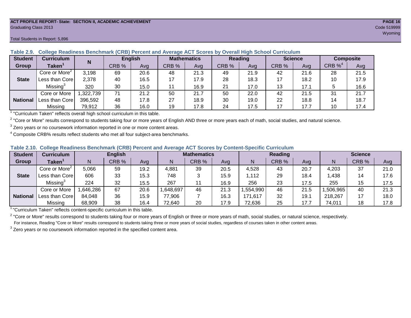#### **ACT PROFILE REPORT- State: SECTION II, ACADEMIC ACHIEVEMENT PAGE 16** Graduating Class 2013 Code 519999

#### Total Students in Report: 5,896

| <b>Student</b>  | <b>Curriculum</b>         | N        | <b>English</b> |      | <b>Mathematics</b> |      | <b>Reading</b> |      | <b>Science</b> |      | Composite |      |
|-----------------|---------------------------|----------|----------------|------|--------------------|------|----------------|------|----------------|------|-----------|------|
| Group           | <b>Taken</b>              |          | CRB %          | Avg  | CRB %              | Avg  | CRB %          | Avg  | CRB %          | Ava  | $CRB\%4$  | Avg  |
|                 | Core or More <sup>2</sup> | 3,198    | 69             | 20.6 | 48                 | 21.3 | 49             | 21.9 | 42             | 21.6 | 28        | 21.5 |
| <b>State</b>    | Less than Core)           | 2,378    | 40             | 16.5 |                    | 17.9 | 28             | 18.3 | 17             | 18.2 | 10        | 17.9 |
|                 | Missing <sup>3</sup>      | 320      | 30             | 15.0 |                    | 16.9 | 21             | 17.0 | 13             | 17.1 |           | 16.6 |
|                 | Core or More              | ,322,739 | 71             | 21.2 | 50                 | 21.7 | 50             | 22.0 | 42             | 21.5 | 31        | 21.7 |
| <b>National</b> | Less than Core            | 396,592  | 48             | 17.8 | 27                 | 18.9 | 30             | 19.0 | 22             | 18.8 | 14        | 18.7 |
|                 | Missing                   | 79,912   | 36             | 16.0 | 19                 | 17.8 | 24             | 17.5 | 17             | 17.7 | 10        | 17.4 |

**Table 2.9. College Readiness Benchmark (CRB) Percent and Average ACT Scores by Overall High School Curriculum**

1 "Curriculum Taken" reflects overall high school curriculum in this table.

 $^2$  "Core or More" results correspond to students taking four or more years of English AND three or more years each of math, social studies, and natural science.

 $3$  Zero years or no coursework information reported in one or more content areas.

 $4$  Composite CRB% results reflect students who met all four subject-area benchmarks.

|  |  |  |  |  | Table 2.10. College Readiness Benchmark (CRB) Percent and Average ACT Scores by Content-Specific Curriculum |
|--|--|--|--|--|-------------------------------------------------------------------------------------------------------------|
|--|--|--|--|--|-------------------------------------------------------------------------------------------------------------|

| <b>Student</b>  | Curriculum                    |          | <b>English</b> |      |          | <b>Mathematics</b> |      |          | <b>Reading</b> |      |          | <b>Science</b> |      |  |
|-----------------|-------------------------------|----------|----------------|------|----------|--------------------|------|----------|----------------|------|----------|----------------|------|--|
| Group           | $\mathsf{Taken}^{\mathsf{T}}$ |          | CRB %          | Avg  | N        | CRB %              | Avg  | N        | CRB %          | Avg  | N        | CRB %          | Avg  |  |
|                 | Core or More <sup>2</sup>     | 5,066    | 59             | 19.2 | 4,881    | 39                 | 20.5 | 4,528    | 43             | 20.7 | 4,203    | 37             | 21.0 |  |
| <b>State</b>    | Less than Core                | 606      | 33             | 15.3 | 748      |                    | 15.9 | .112     | 29             | 18.4 | .438     | 14             | 17.6 |  |
|                 | Missing <sup>3</sup>          | 224      | 32             | 15.5 | 267      |                    | 16.9 | 256      | 23             | 17.5 | 255      | 15             | 17.5 |  |
|                 | Core or More                  | .646,286 | 67             | 20.6 | ,648,697 | 46                 | 21.3 | ,554,990 | 46             | 21.5 | ,506,965 | 40             | 21.3 |  |
| <b>National</b> | Less than Core                | 84,048   | 36             | 15.9 | 77,906   |                    | 16.3 | 171,617  | 32             | 19.7 | 218,267  |                | 18.0 |  |
|                 | Missing                       | 68,909   | 38             | 16.4 | 72,640   | 20                 | 17.9 | 72,636   | 25             | 17.7 | 74,011   | 18             | 17.8 |  |

<sup>1</sup>"Curriculum Taken" reflects content-specific curriculum in this table.

<sup>2</sup> "Core or More" results correspond to students taking four or more years of English or three or more years of math, social studies, or natural science, respectively. For instance, Reading "Core or More" results correspond to students taking three or more years of social studies, regardless of courses taken in other content areas.

 $3$  Zero years or no coursework information reported in the specified content area.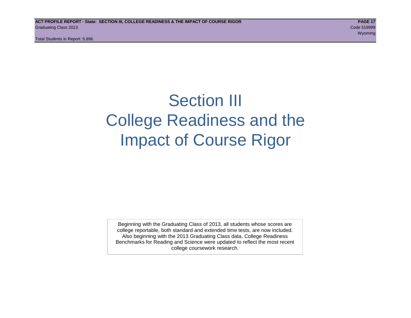Total Students in Report: 5,896

## Section III College Readiness and the Impact of Course Rigor

Beginning with the Graduating Class of 2013, all students whose scores are college reportable, both standard and extended time tests, are now included. Also beginning with the 2013 Graduating Class data, College Readiness Benchmarks for Reading and Science were updated to reflect the most recent college coursework research.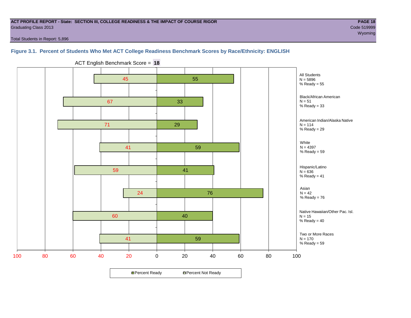#### **ACT PROFILE REPORT - State: SECTION III, COLLEGE READINESS & THE IMPACT OF COURSE RIGOR PAGE 18** Graduating Class 2013 Code 519999

where the contract of the contract of the contract of the contract of the contract of the contract of the contract of the contract of the contract of the contract of the contract of the contract of the contract of the cont

Total Students in Report: 5,896

#### **Figure 3.1. Percent of Students Who Met ACT College Readiness Benchmark Scores by Race/Ethnicity: ENGLISH**



ACT English Benchmark Score = **18**

**□ Percent Ready DPercent Not Ready**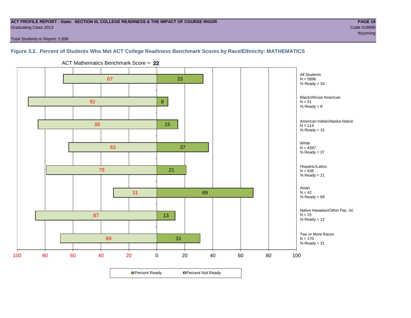#### **ACT PROFILE REPORT - State: SECTION III, COLLEGE READINESS & THE IMPACT OF COURSE RIGOR PAGE 19** Graduating Class 2013 Code 519999

Total Students in Report: 5,896

#### **Figure 3.2. Percent of Students Who Met ACT College Readiness Benchmark Scores by Race/Ethnicity: MATHEMATICS**



ACT Mathematics Benchmark Score = **22**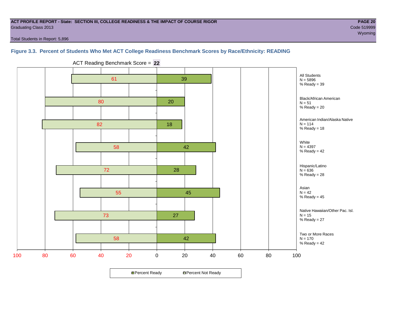#### **ACT PROFILE REPORT - State: SECTION III, COLLEGE READINESS & THE IMPACT OF COURSE RIGOR PAGE 20** Graduating Class 2013 Code 519999

Total Students in Report: 5,896

#### **Figure 3.3. Percent of Students Who Met ACT College Readiness Benchmark Scores by Race/Ethnicity: READING**



ACT Reading Benchmark Score = **22**

**□ Percent Ready DPercent Not Ready**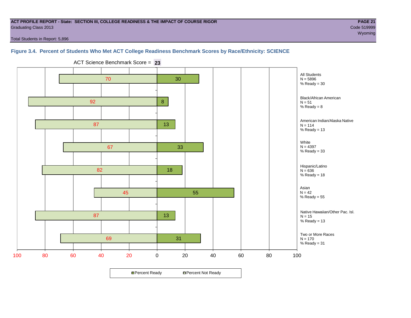#### **ACT PROFILE REPORT - State: SECTION III, COLLEGE READINESS & THE IMPACT OF COURSE RIGOR PAGE 21** Graduating Class 2013 Code 519999

where the contract of the contract of the contract of the contract of the contract of the contract of the contract of the contract of the contract of the contract of the contract of the contract of the contract of the cont

Total Students in Report: 5,896

#### **Figure 3.4. Percent of Students Who Met ACT College Readiness Benchmark Scores by Race/Ethnicity: SCIENCE**



ACT Science Benchmark Score = **23**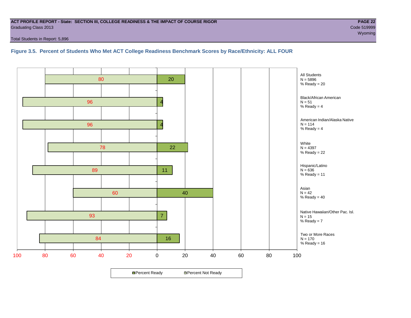#### **ACT PROFILE REPORT - State: SECTION III, COLLEGE READINESS & THE IMPACT OF COURSE RIGOR PAGE 22** Graduating Class 2013 Code 519999

Total Students in Report: 5,896

#### **Figure 3.5. Percent of Students Who Met ACT College Readiness Benchmark Scores by Race/Ethnicity: ALL FOUR**

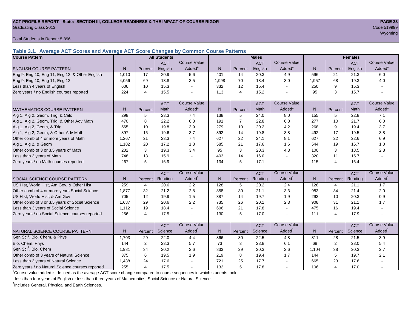#### **ACT PROFILE REPORT - State: SECTION III, COLLEGE READINESS & THE IMPACT OF COURSE RIGOR PAGE 23** Graduating Class 2013 Code 519999

Total Students in Report: 5,896

**Table 3.1. Average ACT Scores and Average ACT Score Changes by Common Course Patterns**

| <b>Course Pattern</b>                            |       |                | <b>All Students</b> |                     |                |                 | <b>Males</b> |                       |                  | <b>Females</b> |            |                        |
|--------------------------------------------------|-------|----------------|---------------------|---------------------|----------------|-----------------|--------------|-----------------------|------------------|----------------|------------|------------------------|
|                                                  |       |                | <b>ACT</b>          | <b>Course Value</b> |                |                 | <b>ACT</b>   | <b>Course Value</b>   |                  |                | <b>ACT</b> | <b>Course Value</b>    |
| <b>ENGLISH COURSE PATTERN</b>                    | N.    | Percent        | English             | Added <sup>1</sup>  | $\mathsf{N}$   | Percent         | English      | Added <sup>1</sup>    | $\mathsf{N}$     | Percent        | English    | A d d e d <sup>1</sup> |
| Eng 9, Eng 10, Eng 11, Eng 12, & Other English   | 1,010 | 17             | 20.9                | 5.6                 | 401            | 14              | 20.3         | 4.9                   | 596              | 21             | 21.3       | 6.0                    |
| Eng 9, Eng 10, Eng 11, Eng 12                    | 4,056 | 69             | 18.8                | 3.5                 | 1,998          | 70              | 18.4         | 3.0                   | 1,957            | 68             | 19.3       | 4.0                    |
| Less than 4 years of English                     | 606   | 10             | 15.3                |                     | 332            | 12              | 15.4         | $\tilde{\phantom{a}}$ | 250              | 9              | 15.3       |                        |
| Zero years / no English courses reported         | 224   | $\overline{4}$ | 15.5                |                     | 113            | $\overline{4}$  | 15.2         |                       | 95               | 3              | 15.7       |                        |
|                                                  |       |                | <b>ACT</b>          | <b>Course Value</b> |                |                 | <b>ACT</b>   | <b>Course Value</b>   |                  |                | <b>ACT</b> | <b>Course Value</b>    |
| <b>MATHEMATICS COURSE PATTERN</b>                | N.    | Percent        | Math                | Added <sup>1</sup>  | N <sub>1</sub> | Percent         | Math         | Added <sup>1</sup>    | N                | Percent        | Math       | A d d e d <sup>1</sup> |
| Alg 1, Alg 2, Geom, Trig, & Calc                 | 298   | 5              | 23.3                | 7.4                 | 138            | 5               | 24.0         | 8.0                   | $\overline{155}$ | 5              | 22.8       | 7.1                    |
| Alg 1, Alg 2, Geom, Trig, & Other Adv Math       | 470   | 8              | 22.2                | 6.3                 | 191            | $\overline{7}$  | 22.8         | 6.8                   | 277              | 10             | 21.7       | 6.0                    |
| Alg 1, Alg 2, Geom, & Trig                       | 565   | 10             | 19.8                | 3.9                 | 279            | 10              | 20.2         | 4.2                   | 268              | 9              | 19.4       | 3.7                    |
| Alg 1, Alg 2, Geom, & Other Adv Math             | 897   | 15             | 19.6                | 3.7                 | 392            | 14              | 19.8         | 3.8                   | 492              | 17             | 19.5       | 3.8                    |
| Other comb of 4 or more years of Math            | 1.267 | 21             | 23.3                | 7.4                 | 627            | 22              | 24.1         | 8.1                   | 627              | 22             | 22.6       | 6.9                    |
| Alg 1, Alg 2, & Geom                             | 1.182 | 20             | 17.2                | 1.3                 | 585            | 21              | 17.6         | 1.6                   | 544              | 19             | 16.7       | 1.0                    |
| Other comb of 3 or 3.5 years of Math             | 202   | 3              | 19.3                | 3.4                 | 95             | 3               | 20.3         | 4.3                   | 100              | 3              | 18.5       | 2.8                    |
| Less than 3 years of Math                        | 748   | 13             | 15.9                |                     | 403            | 14              | 16.0         | $\tilde{\phantom{a}}$ | 320              | 11             | 15.7       |                        |
| Zero years / no Math courses reported            | 267   | 5              | 16.9                |                     | 134            | 5               | 17.1         | $\blacksquare$        | 115              | 4              | 16.4       |                        |
|                                                  |       |                | <b>ACT</b>          | <b>Course Value</b> |                |                 | <b>ACT</b>   | <b>Course Value</b>   |                  |                | <b>ACT</b> | <b>Course Value</b>    |
| <b>SOCIAL SCIENCE COURSE PATTERN</b>             | N     | Percent        | Reading             | Added <sup>1</sup>  | N              | Percent         | Reading      | Added <sup>1</sup>    | N                | Percent        | Reading    | A d d e d <sup>1</sup> |
| US Hist, World Hist, Am Gov, & Other Hist        | 259   | 4              | 20.6                | 2.2                 | 128            | 5               | 20.2         | 2.4                   | 128              | $\overline{4}$ | 21.1       | 1.7                    |
| Other comb of 4 or more years Social Science     | 1.877 | 32             | 21.2                | 2.8                 | 858            | 30              | 21.1         | 3.3                   | 983              | 34             | 21.4       | 2.0                    |
| US Hist, World Hist, & Am Gov                    | 705   | 12             | 19.9                | 1.5                 | 387            | 14              | 19.7         | 1.9                   | 293              | 10             | 20.3       | 0.9                    |
| Other comb of 3 or 3.5 years of Social Science   | 1.687 | 29             | 20.6                | 2.2                 | 735            | 26              | 20.1         | 2.3                   | 908              | 31             | 21.1       | 1.7                    |
| Less than 3 years of Social Science              | 1,112 | 19             | 18.4                |                     | 606            | 21              | 17.8         | $\sim$                | 475              | 16             | 19.4       |                        |
| Zero years / no Social Science courses reported  | 256   | 4              | 17.5                |                     | 130            | $5\phantom{.0}$ | 17.0         | $\blacksquare$        | 111              | 4              | 17.9       |                        |
|                                                  |       |                | <b>ACT</b>          | <b>Course Value</b> |                |                 | <b>ACT</b>   | <b>Course Value</b>   |                  |                | <b>ACT</b> | <b>Course Value</b>    |
| NATURAL SCIENCE COURSE PATTERN                   | N.    | Percent        | Science             | Added <sup>1</sup>  | N              | Percent         | Science      | Added <sup>1</sup>    | N                | Percent        | Science    | A d d e d <sup>1</sup> |
| Gen Sci <sup>2</sup> , Bio, Chem, & Phys         | 1,703 | 29             | 22.0                | 4.4                 | 866            | 30              | 22.5         | 4.8                   | 811              | 28             | 21.5       | 3.9                    |
| Bio, Chem, Phys                                  | 144   | 2              | 23.3                | 5.7                 | 73             | 3               | 23.8         | 6.1                   | 68               | $\overline{2}$ | 23.0       | 5.4                    |
| Gen Sci <sup>2</sup> , Bio, Chem                 | 1,981 | 34             | 20.2                | 2.6                 | 833            | 29              | 20.3         | 2.6                   | 1,104            | 38             | 20.3       | 2.7                    |
| Other comb of 3 years of Natural Science         | 375   | 6              | 19.5                | 1.9                 | 219            | 8               | 19.4         | 1.7                   | 144              | 5              | 19.7       | 2.1                    |
| Less than 3 years of Natural Science             | 1,438 | 24             | 17.6                |                     | 721            | 25              | 17.7         | $\blacksquare$        | 665              | 23             | 17.6       |                        |
| Zero years / no Natural Science courses reported | 255   | $\overline{4}$ | 17.5                |                     | 132            | 5               | 17.8         |                       | 106              | 4              | 17.0       |                        |

<sup>1</sup>Course value added is defined as the average ACT score change compared to course sequences in which students took

less than four years of English or less than three years of Mathematics, Social Science or Natural Science.

<sup>2</sup>Includes General, Physical and Earth Sciences.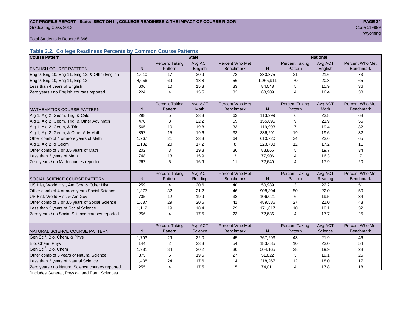## **ACT PROFILE REPORT - State: SECTION III, COLLEGE READINESS & THE IMPACT OF COURSE RIGOR PAGE 24** Code 519999 **PAGE 24** Graduating Class 2013 Code 519999

wy observed a state of the control of the control of the control of the control of the control of the control o

Total Students in Report: 5,896

### **Table 3.2. College Readiness Percents by Common Course Patterns**

| <b>Course Pattern</b>                            |              |                       | <b>State</b> |                  | <b>National</b> |                       |         |                  |  |
|--------------------------------------------------|--------------|-----------------------|--------------|------------------|-----------------|-----------------------|---------|------------------|--|
|                                                  |              | <b>Percent Taking</b> | Avg ACT      | Percent Who Met  |                 | <b>Percent Taking</b> | Avg ACT | Percent Who Met  |  |
| <b>ENGLISH COURSE PATTERN</b>                    | $\mathsf{N}$ | Pattern               | English      | <b>Benchmark</b> | N               | Pattern               | English | <b>Benchmark</b> |  |
| Eng 9, Eng 10, Eng 11, Eng 12, & Other English   | 1,010        | 17                    | 20.9         | 72               | 380.375         | 21                    | 21.6    | 73               |  |
| Eng 9, Eng 10, Eng 11, Eng 12                    | 4,056        | 69                    | 18.8         | 56               | 1,265,911       | 70                    | 20.3    | 65               |  |
| Less than 4 years of English                     | 606          | 10                    | 15.3         | 33               | 84,048          | 5                     | 15.9    | 36               |  |
| Zero years / no English courses reported         | 224          | 4                     | 15.5         | 32               | 68,909          | 4                     | 16.4    | 38               |  |
|                                                  |              |                       |              |                  |                 |                       |         |                  |  |
|                                                  |              | <b>Percent Taking</b> | Avg ACT      | Percent Who Met  |                 | <b>Percent Taking</b> | Avg ACT | Percent Who Met  |  |
| <b>MATHEMATICS COURSE PATTERN</b>                | N            | Pattern               | <b>Math</b>  | <b>Benchmark</b> | N               | Pattern               | Math    | <b>Benchmark</b> |  |
| Alg 1, Alg 2, Geom, Trig, & Calc                 | 298          | 5                     | 23.3         | 63               | 113,999         | 6                     | 23.8    | 68               |  |
| Alg 1, Alg 2, Geom, Trig, & Other Adv Math       | 470          | 8                     | 22.2         | 59               | 155,095         | 9                     | 21.9    | 56               |  |
| Alg 1, Alg 2, Geom, & Trig                       | 565          | 10                    | 19.8         | 33               | 119,993         | 7                     | 19.4    | 32               |  |
| Alg 1, Alg 2, Geom, & Other Adv Math             | 897          | 15                    | 19.6         | 33               | 336,291         | 19                    | 19.6    | 32               |  |
| Other comb of 4 or more years of Math            | 1,267        | 21                    | 23.3         | 64               | 610,720         | 34                    | 23.6    | 65               |  |
| Alg 1, Alg 2, & Geom                             | 1,182        | 20                    | 17.2         | 8                | 223,733         | 12                    | 17.2    | 11               |  |
| Other comb of 3 or 3.5 years of Math             | 202          | 3                     | 19.3         | 30               | 88,866          | 5                     | 19.7    | 34               |  |
| Less than 3 years of Math                        | 748          | 13                    | 15.9         | 3                | 77,906          | 4                     | 16.3    | $\overline{7}$   |  |
| Zero years / no Math courses reported            | 267          | 5                     | 16.9         | 11               | 72,640          | 4                     | 17.9    | 20               |  |
|                                                  |              |                       |              |                  |                 |                       |         |                  |  |
|                                                  |              | <b>Percent Taking</b> | Avg ACT      | Percent Who Met  |                 | <b>Percent Taking</b> | Avg ACT | Percent Who Met  |  |
| <b>SOCIAL SCIENCE COURSE PATTERN</b>             | N            | Pattern               | Reading      | <b>Benchmark</b> | $\mathsf{N}$    | Pattern               | Reading | <b>Benchmark</b> |  |
| US Hist, World Hist, Am Gov, & Other Hist        | 259          | 4                     | 20.6         | 40               | 50,989          | 3                     | 22.2    | 51               |  |
| Other comb of 4 or more years Social Science     | 1,877        | 32                    | 21.2         | 46               | 908,394         | 50                    | 22.0    | 50               |  |
| US Hist, World Hist, & Am Gov                    | 705          | 12                    | 19.9         | 38               | 106,021         | 6                     | 19.5    | 34               |  |
| Other comb of 3 or 3.5 years of Social Science   | 1,687        | 29                    | 20.6         | 41               | 489,586         | 27                    | 21.0    | 43               |  |
| Less than 3 years of Social Science              | 1,112        | 19                    | 18.4         | 29               | 171,617         | 10                    | 19.1    | 32               |  |
| Zero years / no Social Science courses reported  | 256          | 4                     | 17.5         | 23               | 72,636          | 4                     | 17.7    | 25               |  |
|                                                  |              |                       |              |                  |                 |                       |         |                  |  |
|                                                  |              | <b>Percent Taking</b> | Avg ACT      | Percent Who Met  |                 | <b>Percent Taking</b> | Avg ACT | Percent Who Met  |  |
| NATURAL SCIENCE COURSE PATTERN                   | N            | Pattern               | Science      | <b>Benchmark</b> | $\mathsf{N}$    | Pattern               | Science | <b>Benchmark</b> |  |
| Gen Sci <sup>1</sup> , Bio, Chem, & Phys         | 1,703        | 29                    | 22.0         | 45               | 767,293         | 43                    | 21.9    | 46               |  |
| Bio, Chem, Phys                                  | 144          | $\overline{2}$        | 23.3         | 54               | 183,685         | 10                    | 23.0    | 54               |  |
| Gen Sci <sup>1</sup> , Bio, Chem                 | 1,981        | 34                    | 20.2         | 30               | 504.165         | 28                    | 19.9    | 28               |  |
| Other comb of 3 years of Natural Science         | 375          | 6                     | 19.5         | 27               | 51,822          | 3                     | 19.1    | 25               |  |
| Less than 3 years of Natural Science             | 1,438        | 24                    | 17.6         | 14               | 218,267         | 12                    | 18.0    | 17               |  |
| Zero years / no Natural Science courses reported | 255          | 4                     | 17.5         | 15               | 74,011          | $\overline{4}$        | 17.8    | 18               |  |

<sup>1</sup>Includes General, Physical and Earth Sciences.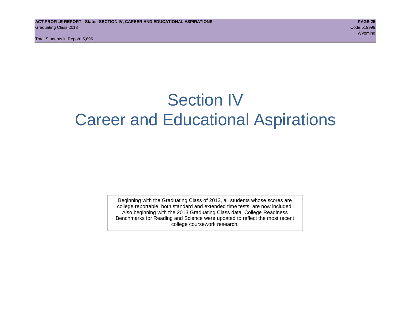## Section IV Career and Educational Aspirations

Beginning with the Graduating Class of 2013, all students whose scores are college reportable, both standard and extended time tests, are now included. Also beginning with the 2013 Graduating Class data, College Readiness Benchmarks for Reading and Science were updated to reflect the most recent college coursework research.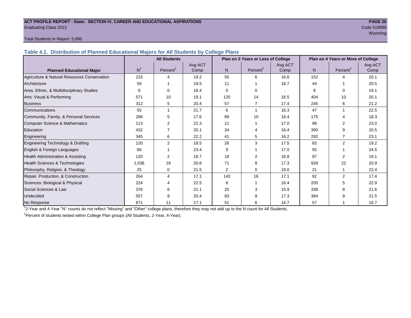#### **ACT PROFILE REPORT - State: SECTION IV, CAREER AND EDUCATIONAL ASPIRATIONS PAGE 26** Graduating Class 2013 Code 519999

## where the contract of the contract of the contract of the contract of the contract of the contract of the contract of the contract of the contract of the contract of the contract of the contract of the contract of the cont

#### Total Students in Report: 5,896

**Table 4.1. Distribution of Planned Educational Majors for All Students by College Plans**

|                                              |                | <b>All Students</b>  |                 |                | Plan on 2 Years or Less of College |                 |     | Plan on 4 Years or More of College |                 |
|----------------------------------------------|----------------|----------------------|-----------------|----------------|------------------------------------|-----------------|-----|------------------------------------|-----------------|
| <b>Planned Educational Major</b>             | N <sup>1</sup> | Percent <sup>2</sup> | Avg ACT<br>Comp | N <sub>1</sub> | Percent <sup>2</sup>               | Avg ACT<br>Comp | N.  | Percent <sup>2</sup>               | Avg ACT<br>Comp |
| Agriculture & Natural Resources Conservation | 215            | 4                    | 19.2            | 55             | 6                                  | 16.6            | 152 | Δ                                  | 20.1            |
| Architecture                                 | 59             |                      | 19.5            | 11             |                                    | 16.7            | 44  |                                    | 20.5            |
| Area, Ethnic, & Multidisciplinary Studies    | 9              | 0                    | 18.4            | $\Omega$       | $\Omega$                           |                 | 8   | 0                                  | 19.1            |
| Arts: Visual & Performing                    | 571            | 10                   | 19.1            | 120            | 14                                 | 16.5            | 404 | 10                                 | 20.1            |
| <b>Business</b>                              | 312            | 5                    | 20.4            | 57             | 7                                  | 17.4            | 245 | 6                                  | 21.2            |
| Communications                               | 55             |                      | 21.7            | 6              |                                    | 16.3            | 47  |                                    | 22.5            |
| Community, Family, & Personal Services       | 286            | 5                    | 17.6            | 89             | 10                                 | 16.4            | 175 |                                    | 18.3            |
| Computer Science & Mathematics               | 113            | $\overline{2}$       | 22.3            | 11             |                                    | 17.0            | 99  |                                    | 23.0            |
| Education                                    | 432            |                      | 20.1            | 34             | Δ                                  | 16.4            | 390 | 9                                  | 20.5            |
| Engineering                                  | 345            | 6                    | 22.2            | 41             | 5                                  | 16.2            | 292 |                                    | 23.1            |
| Engineering Technology & Drafting            | 120            | 2                    | 18.5            | 26             | 3                                  | 17.5            | 83  | $\overline{2}$                     | 19.2            |
| English & Foreign Languages                  | 66             |                      | 23.4            | 9              |                                    | 17.0            | 55  |                                    | 24.5            |
| Health Administration & Assisting            | 120            | 2                    | 18.7            | 18             | 2                                  | 16.8            | 97  | 2                                  | 19.1            |
| Health Sciences & Technologies               | 1,036          | 18                   | 20.6            | 71             | 8                                  | 17.3            | 928 | 22                                 | 20.9            |
| Philosophy, Religion, & Theology             | 25             | 0                    | 21.5            | $\overline{2}$ | $\Omega$                           | 19.0            | 21  |                                    | 22.4            |
| Repair, Production, & Construction           | 264            | 4                    | 17.1            | 143            | 16                                 | 17.1            | 92  | $\overline{2}$                     | 17.4            |
| Sciences: Biological & Physical              | 224            |                      | 22.5            | 8              |                                    | 16.4            | 205 |                                    | 22.9            |
| Social Sciences & Law                        | 376            | 6                    | 21.1            | 25             | 3                                  | 15.9            | 338 |                                    | 21.6            |
| Undecided                                    | 557            | 9                    | 20.4            | 83             | я                                  | 17.3            | 384 |                                    | 21.5            |
| No Response                                  | 671            | 11                   | 17.1            | 51             | 6                                  | 14.7            | 57  |                                    | 16.7            |

1 2-Year and 4-Year "N" counts do not reflect "Missing" and "Other" college plans, therefore they may not add up to the N count for All Students.

<sup>2</sup> Percent of students tested within College Plan groups (All Students, 2-Year, 4-Year).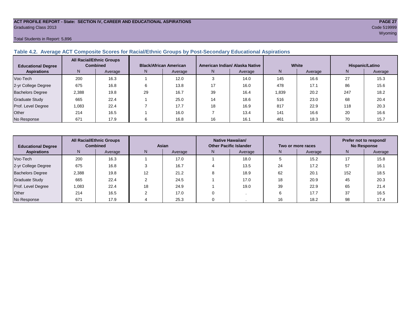#### **ACT PROFILE REPORT - State: SECTION IV, CAREER AND EDUCATIONAL ASPIRATIONS PAGE 27** Graduating Class 2013 Code 519999

#### Total Students in Report: 5,896

#### **Table 4.2. Average ACT Composite Scores for Racial/Ethnic Groups by Post-Secondary Educational Aspirations**

| <b>Educational Degree</b> | <b>All Racial/Ethnic Groups</b><br><b>Combined</b> |         | <b>Black/African American</b> |         |    | American Indian/ Alaska Native |       | White   | Hispanic/Latino |         |  |
|---------------------------|----------------------------------------------------|---------|-------------------------------|---------|----|--------------------------------|-------|---------|-----------------|---------|--|
| <b>Aspirations</b>        | N                                                  | Average | N.                            | Average | N. | Average                        | N     | Average | N               | Average |  |
| Voc-Tech                  | 200                                                | 16.3    |                               | 12.0    |    | 14.0                           | 145   | 16.6    | 27              | 15.3    |  |
| 2-yr College Degree       | 675                                                | 16.8    | 6                             | 13.8    |    | 16.0                           | 478   | 17.1    | 86              | 15.6    |  |
| <b>Bachelors Degree</b>   | 2,388                                              | 19.8    | 29                            | 16.7    | 39 | 16.4                           | 1,839 | 20.2    | 247             | 18.2    |  |
| Graduate Study            | 665                                                | 22.4    |                               | 25.0    | 14 | 18.6                           | 516   | 23.0    | 68              | 20.4    |  |
| Prof. Level Degree        | 1.083                                              | 22.4    |                               | 17.7    | 18 | 16.9                           | 817   | 22.9    | 118             | 20.3    |  |
| Other                     | 214                                                | 16.5    |                               | 16.0    |    | 13.4                           | 141   | 16.6    | 20              | 16.6    |  |
| No Response               | 671                                                | 17.9    |                               | 16.8    | 16 | 16.1                           | 461   | 18.3    | 70              | 15.7    |  |

| <b>All Racial/Ethnic Groups</b><br><b>Combined</b><br><b>Educational Degree</b> |       | Asian   |    |         | Native Hawaiian/<br><b>Other Pacific Islander</b> |         | Two or more races | Prefer not to respond/<br><b>No Response</b> |     |         |
|---------------------------------------------------------------------------------|-------|---------|----|---------|---------------------------------------------------|---------|-------------------|----------------------------------------------|-----|---------|
| <b>Aspirations</b>                                                              | N     | Average | N  | Average | N.                                                | Average | N.                | Average                                      | N   | Average |
| Voc-Tech                                                                        | 200   | 16.3    |    | 17.0    |                                                   | 18.0    |                   | 15.2                                         | 17  | 15.8    |
| 2-yr College Degree                                                             | 675   | 16.8    |    | 16.7    |                                                   | 13.5    | 24                | 17.2                                         | 57  | 16.1    |
| <b>Bachelors Degree</b>                                                         | 2,388 | 19.8    | 12 | 21.2    |                                                   | 18.9    | 62                | 20.1                                         | 152 | 18.5    |
| Graduate Study                                                                  | 665   | 22.4    |    | 24.5    |                                                   | 17.0    | 18                | 20.9                                         | 45  | 20.3    |
| Prof. Level Degree                                                              | 1.083 | 22.4    | 18 | 24.9    |                                                   | 19.0    | 39                | 22.9                                         | 65  | 21.4    |
| Other                                                                           | 214   | 16.5    |    | 17.0    |                                                   |         |                   | 17.7                                         | 37  | 16.5    |
| No Response                                                                     | 671   | 17.9    |    | 25.3    |                                                   |         | 16                | 18.2                                         | 98  | 17.4    |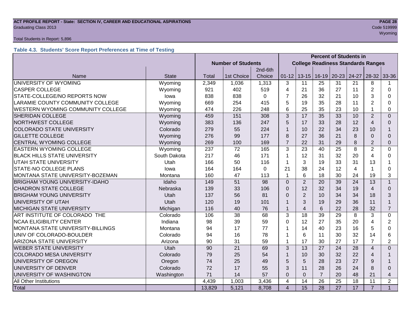## **ACT PROFILE REPORT - State: SECTION IV, CAREER AND EDUCATIONAL ASPIRATIONS** *PAGE 28***<br>Graduating Class 2013 <b>Code 519999** Code 519999 Graduating Class 2013 Code 519999

#### Total Students in Report: 5,896

#### **Table 4.3. Students' Score Report Preferences at Time of Testing**

|                                          |              |                           |                 |          | <b>Percent of Students in</b> |                                           |                 |                 |                 |                |                |
|------------------------------------------|--------------|---------------------------|-----------------|----------|-------------------------------|-------------------------------------------|-----------------|-----------------|-----------------|----------------|----------------|
|                                          |              | <b>Number of Students</b> |                 |          |                               | <b>College Readiness Standards Ranges</b> |                 |                 |                 |                |                |
|                                          |              |                           |                 | 2nd-6th  |                               |                                           |                 |                 |                 |                |                |
| Name                                     | <b>State</b> | Total                     | 1st Choice      | Choice   | $01 - 12$                     | $13 - 15$                                 | $16 - 19$       | $20 - 23$       | 24-27           | $28-32$        | 33-36          |
| UNIVERSITY OF WYOMING                    | Wyoming      | 2,349                     | 1,036           | 1,313    | 3                             | 11                                        | 25              | 31              | 21              | 8              |                |
| <b>CASPER COLLEGE</b>                    | Wyoming      | 921                       | 402             | 519      | 4                             | 21                                        | 36              | 27              | 11              | $\overline{2}$ | $\Omega$       |
| STATE-COLLEGE/NO REPORTS NOW             | lowa         | 838                       | 838             | $\Omega$ | $\overline{7}$                | 26                                        | 32              | 21              | 10              | 3              | 0              |
| LARAMIE COUNTY COMMUNITY COLLEGE         | Wyoming      | 669                       | 254             | 415      | 5                             | 19                                        | 35              | 28              | 11              | $\overline{2}$ | 0              |
| WESTERN WYOMING COMMUNITY COLLEGE        | Wyoming      | 474                       | 226             | 248      | 6                             | 25                                        | 35              | 23              | 10              |                | 0              |
| <b>SHERIDAN COLLEGE</b>                  | Wyoming      | 459                       | 151             | 308      | 3                             | $\overline{17}$                           | 35              | 33              | 10              | $\overline{2}$ | $\Omega$       |
| NORTHWEST COLLEGE                        | Wyoming      | 383                       | 136             | 247      | 5                             | 17                                        | 33              | 28              | 12              | $\overline{4}$ | $\Omega$       |
| <b>COLORADO STATE UNIVERSITY</b>         | Colorado     | 279                       | 55              | 224      | 1                             | 10                                        | 22              | 34              | 23              | 10             |                |
| <b>GILLETTE COLLEGE</b>                  | Wyoming      | 276                       | 99              | 177      | 8                             | 27                                        | 36              | 21              | 8               | $\Omega$       | $\Omega$       |
| CENTRAL WYOMING COLLEGE                  | Wyoming      | 269                       | 100             | 169      | $\overline{7}$                | 22                                        | 31              | 29              | 8               | $\overline{2}$ | $\mathbf{0}$   |
| <b>EASTERN WYOMING COLLEGE</b>           | Wyoming      | 237                       | 72              | 165      | 3                             | $\overline{23}$                           | 40              | 25              | 8               | $\overline{2}$ | 0              |
| <b>BLACK HILLS STATE UNIVERSITY</b>      | South Dakota | 217                       | 46              | 171      | 1                             | 12                                        | 31              | 32              | 20              | 4              | $\Omega$       |
| <b>UTAH STATE UNIVERSITY</b>             | Utah         | 166                       | 50              | 116      | 1                             | 3                                         | 19              | 33              | 31              | 13             |                |
| STATE-NO COLLEGE PLANS                   | lowa         | 164                       | 164             | $\Omega$ | 21                            | 38                                        | 24              | 12              | 4               |                | 0              |
| MONTANA STATE UNIVERSITY-BOZEMAN         | Montana      | 160                       | 47              | 113      | 1                             | 6                                         | 18              | 30              | 24              | 19             | 3              |
| <b>BRIGHAM YOUNG UNIVERSITY-IDAHO</b>    | Idaho        | 149                       | 51              | 98       | $\Omega$                      | $\overline{2}$                            | 20              | 39              | 24              | 13             | $\overline{1}$ |
| <b>CHADRON STATE COLLEGE</b>             | Nebraska     | 139                       | 33              | 106      | $\Omega$                      | 12                                        | 32              | 34              | 19              | 4              | $\Omega$       |
| <b>BRIGHAM YOUNG UNIVERSITY</b>          | Utah         | 137                       | 56              | 81       | $\Omega$                      | $\overline{2}$                            | 10              | 34              | 34              | 18             | 3              |
| UNIVERSITY OF UTAH                       | Utah         | 120                       | 19              | 101      | 1                             | 3                                         | 19              | 29              | 36              | 11             | $\mathbf{1}$   |
| <b>MICHIGAN STATE UNIVERSITY</b>         | Michigan     | 116                       | 40              | 76       | 1                             | $\overline{4}$                            | 6               | 22              | 28              | 32             | $\overline{7}$ |
| ART INSTITUTE OF COLORADO THE            | Colorado     | 106                       | $\overline{38}$ | 68       | 3                             | $\overline{18}$                           | 39              | 29              | 8               | 3              | 0              |
| <b>NCAA ELIGIBILITY CENTER</b>           | Indiana      | 98                        | 39              | 59       | $\Omega$                      | 12                                        | 27              | 35              | 20              | $\overline{4}$ | $\overline{2}$ |
| <b>MONTANA STATE UNIVERSITY-BILLINGS</b> | Montana      | 94                        | 17              | 77       | 1                             | 14                                        | 40              | 23              | 16              | 5              | $\Omega$       |
| UNIV OF COLORADO-BOULDER                 | Colorado     | 94                        | 16              | 78       | 1                             | 6                                         | 11              | 30              | 32              | 14             | 6              |
| ARIZONA STATE UNIVERSITY                 | Arizona      | 90                        | 31              | 59       | 1                             | 17                                        | 30              | 27              | 17              | 7              | $\overline{2}$ |
| <b>WEBER STATE UNIVERSITY</b>            | Utah         | 90                        | $\overline{21}$ | 69       | 3                             | 13                                        | 27              | 24              | 28              | 4              | $\Omega$       |
| <b>COLORADO MESA UNIVERSITY</b>          | Colorado     | 79                        | 25              | 54       |                               | 10                                        | 30              | 32              | 22              | 4              |                |
| UNIVERSITY OF OREGON                     | Oregon       | 74                        | 25              | 49       | 5                             | 5                                         | 28              | 23              | 27              | 9              |                |
| UNIVERSITY OF DENVER<br>Colorado         |              | 72                        | 17              | 55       | 3                             | 11                                        | 28              | 26              | 24              | 8              | $\Omega$       |
| UNIVERSITY OF WASHINGTON                 | Washington   | 71                        | 14              | 57       | $\Omega$                      | $\mathbf 0$                               | $\overline{7}$  | 20              | 48              | 21             | $\overline{4}$ |
| All Other Institutions                   |              | 4,439                     | 1,003           | 3,436    | 4                             | 14                                        | 26              | 25              | 18              | 11             | $\overline{2}$ |
| Total                                    |              | 13,829                    | 5,121           | 8,708    | $\overline{4}$                | $\overline{15}$                           | $\overline{28}$ | $\overline{27}$ | $\overline{17}$ | $\overline{7}$ | $\mathbf{1}$   |

wy observed the contract of the contract of the contract of the contract of the contract of the contract of the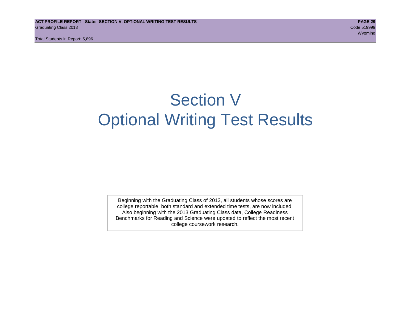Total Students in Report: 5,896

## Section V Optional Writing Test Results

Beginning with the Graduating Class of 2013, all students whose scores are college reportable, both standard and extended time tests, are now included. Also beginning with the 2013 Graduating Class data, College Readiness Benchmarks for Reading and Science were updated to reflect the most recent college coursework research.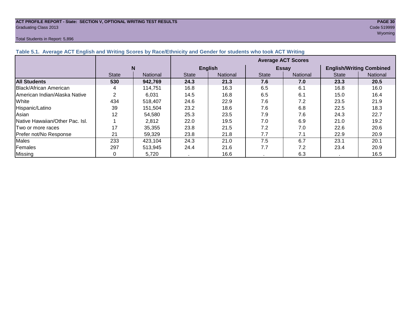#### **ACT PROFILE REPORT - State: SECTION V, OPTIONAL WRITING TEST RESULTS PAGE 30** Graduating Class 2013 Code 519999

#### Total Students in Report: 5,896

wy observed the contract of the contract of the contract of the contract of the contract of the contract of the

| Table 5.1. Average ACT English and Writing Scores by Race/Ethnicity and Gender for students who took ACT Writing |              |          |                           |                |              |                 |                                 |          |  |  |  |
|------------------------------------------------------------------------------------------------------------------|--------------|----------|---------------------------|----------------|--------------|-----------------|---------------------------------|----------|--|--|--|
|                                                                                                                  |              |          | <b>Average ACT Scores</b> |                |              |                 |                                 |          |  |  |  |
|                                                                                                                  |              | N        |                           | <b>English</b> |              | <b>Essay</b>    | <b>English/Writing Combined</b> |          |  |  |  |
|                                                                                                                  | <b>State</b> | National | <b>State</b>              | National       | <b>State</b> | <b>National</b> | <b>State</b>                    | National |  |  |  |
| <b>All Students</b>                                                                                              | 530          | 942,769  | 24.3                      | 21.3           | 7.6          | 7.0             | 23.3                            | 20.5     |  |  |  |
| Black/African American                                                                                           | 4            | 114,751  | 16.8                      | 16.3           | 6.5          | 6.1             | 16.8                            | 16.0     |  |  |  |
| American Indian/Alaska Native                                                                                    | 2            | 6,031    | 14.5                      | 16.8           | 6.5          | 6.1             | 15.0                            | 16.4     |  |  |  |
| White                                                                                                            | 434          | 518.407  | 24.6                      | 22.9           | 7.6          | 7.2             | 23.5                            | 21.9     |  |  |  |
| Hispanic/Latino                                                                                                  | 39           | 151,504  | 23.2                      | 18.6           | 7.6          | 6.8             | 22.5                            | 18.3     |  |  |  |
| Asian                                                                                                            | 12           | 54,580   | 25.3                      | 23.5           | 7.9          | 7.6             | 24.3                            | 22.7     |  |  |  |
| <b>Native Hawaiian/Other Pac. Isl.</b>                                                                           |              | 2,812    | 22.0                      | 19.5           | 7.0          | 6.9             | 21.0                            | 19.2     |  |  |  |
| I Two or more races                                                                                              | 17           | 35.355   | 23.8                      | 21.5           | 7.2          | 7.0             | 22.6                            | 20.6     |  |  |  |
| Prefer not/No Response                                                                                           | 21           | 59,329   | 23.8                      | 21.8           | 7.7          | 7.1             | 22.9                            | 20.9     |  |  |  |
| <b>Males</b>                                                                                                     | 233          | 423.104  | 24.3                      | 21.0           | 7.5          | 6.7             | 23.1                            | 20.1     |  |  |  |
| Females                                                                                                          | 297          | 513,945  | 24.4                      | 21.6           | 7.7          | 7.2             | 23.4                            | 20.9     |  |  |  |
| Missing                                                                                                          |              | 5,720    | A.                        | 16.6           |              | 6.3             |                                 | 16.5     |  |  |  |